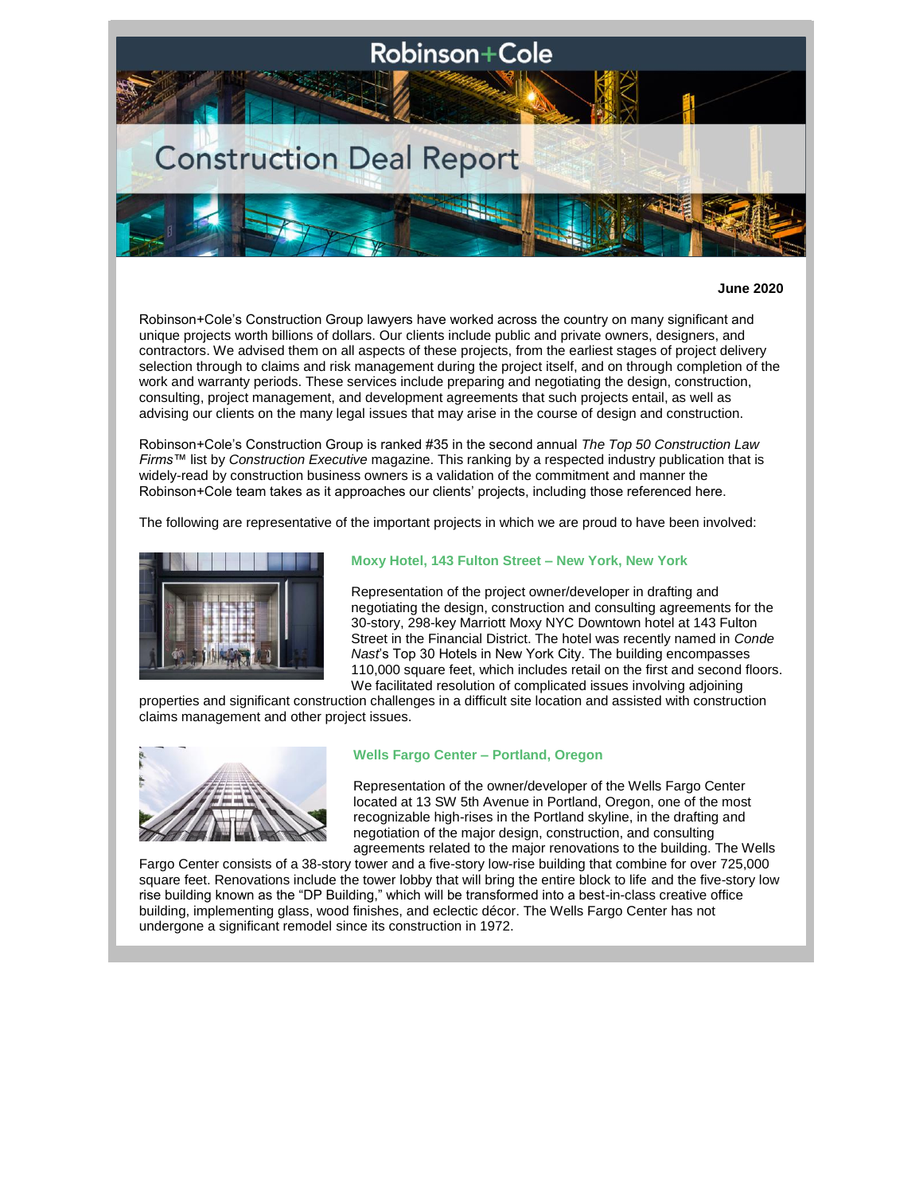

#### **June 2020**

Robinson+Cole's Construction Group lawyers have worked across the country on many significant and unique projects worth billions of dollars. Our clients include public and private owners, designers, and contractors. We advised them on all aspects of these projects, from the earliest stages of project delivery selection through to claims and risk management during the project itself, and on through completion of the work and warranty periods. These services include preparing and negotiating the design, construction, consulting, project management, and development agreements that such projects entail, as well as advising our clients on the many legal issues that may arise in the course of design and construction.

Robinson+Cole's Construction Group is ranked #35 in the second annual *The Top 50 Construction Law Firms™* list by *Construction Executive* magazine. This ranking by a respected industry publication that is widely-read by construction business owners is a validation of the commitment and manner the Robinson+Cole team takes as it approaches our clients' projects, including those referenced here.

The following are representative of the important projects in which we are proud to have been involved:



#### **Moxy Hotel, 143 Fulton Street – New York, New York**

Representation of the project owner/developer in drafting and negotiating the design, construction and consulting agreements for the 30-story, 298-key Marriott Moxy NYC Downtown hotel at 143 Fulton Street in the Financial District. The hotel was recently named in *Conde Nast*'s Top 30 Hotels in New York City. The building encompasses 110,000 square feet, which includes retail on the first and second floors. We facilitated resolution of complicated issues involving adjoining

properties and significant construction challenges in a difficult site location and assisted with construction claims management and other project issues.



#### **Wells Fargo Center – Portland, Oregon**

Representation of the owner/developer of the Wells Fargo Center located at 13 SW 5th Avenue in Portland, Oregon, one of the most recognizable high-rises in the Portland skyline, in the drafting and negotiation of the major design, construction, and consulting agreements related to the major renovations to the building. The Wells

Fargo Center consists of a 38-story tower and a five-story low-rise building that combine for over 725,000 square feet. Renovations include the tower lobby that will bring the entire block to life and the five-story low rise building known as the "DP Building," which will be transformed into a best-in-class creative office building, implementing glass, wood finishes, and eclectic décor. The Wells Fargo Center has not undergone a significant remodel since its construction in 1972.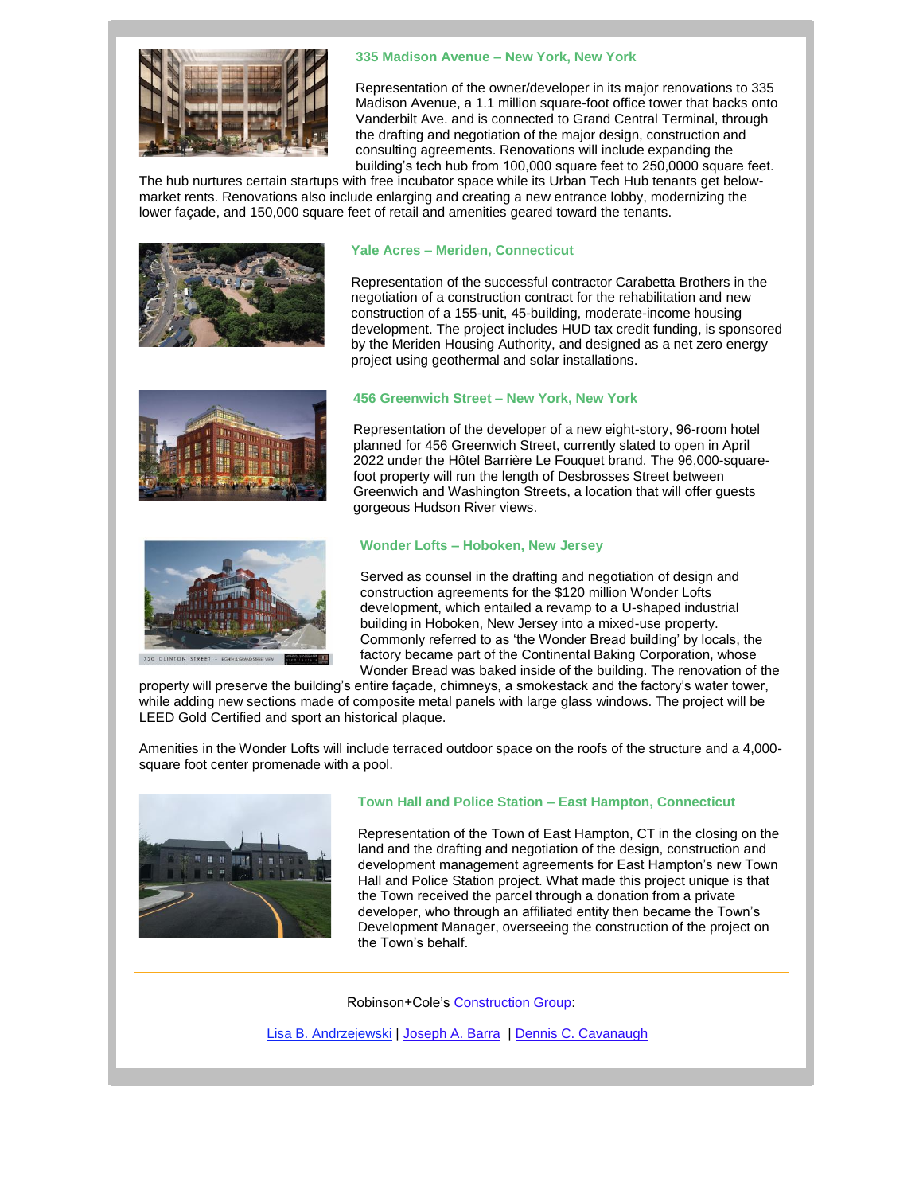

# **335 Madison Avenue – New York, New York**

Representation of the owner/developer in its major renovations to 335 Madison Avenue, a 1.1 million square-foot office tower that backs onto Vanderbilt Ave. and is connected to Grand Central Terminal, through the drafting and negotiation of the major design, construction and consulting agreements. Renovations will include expanding the building's tech hub from 100,000 square feet to 250,0000 square feet.

The hub nurtures certain startups with free incubator space while its Urban Tech Hub tenants get belowmarket rents. Renovations also include enlarging and creating a new entrance lobby, modernizing the lower façade, and 150,000 square feet of retail and amenities geared toward the tenants.



# **Yale Acres – Meriden, Connecticut**

Representation of the successful contractor Carabetta Brothers in the negotiation of a construction contract for the rehabilitation and new construction of a 155-unit, 45-building, moderate-income housing development. The project includes HUD tax credit funding, is sponsored by the Meriden Housing Authority, and designed as a net zero energy project using geothermal and solar installations.





### **456 Greenwich Street – New York, New York**

Representation of the developer of a new eight-story, 96-room hotel planned for 456 Greenwich Street, currently slated to open in April 2022 under the Hôtel Barrière Le Fouquet brand. The 96,000-squarefoot property will run the length of Desbrosses Street between Greenwich and Washington Streets, a location that will offer guests gorgeous Hudson River views.

# **Wonder Lofts – Hoboken, New Jersey**

Served as counsel in the drafting and negotiation of design and construction agreements for the \$120 million Wonder Lofts development, which entailed a revamp to a U-shaped industrial building in Hoboken, New Jersey into a mixed-use property. Commonly referred to as 'the Wonder Bread building' by locals, the factory became part of the Continental Baking Corporation, whose Wonder Bread was baked inside of the building. The renovation of the

property will preserve the building's entire façade, chimneys, a smokestack and the factory's water tower, while adding new sections made of composite metal panels with large glass windows. The project will be LEED Gold Certified and sport an historical plaque.

Amenities in the Wonder Lofts will include terraced outdoor space on the roofs of the structure and a 4,000 square foot center promenade with a pool.



#### **Town Hall and Police Station – East Hampton, Connecticut**

Representation of the Town of East Hampton, CT in the closing on the land and the drafting and negotiation of the design, construction and development management agreements for East Hampton's new Town Hall and Police Station project. What made this project unique is that the Town received the parcel through a donation from a private developer, who through an affiliated entity then became the Town's Development Manager, overseeing the construction of the project on the Town's behalf.

Robinson+Cole's [Construction Group:](http://r20.rs6.net/tn.jsp?f=001HwIvlYPwooTudXjiKKsKEbEy8IQDJ8eKoYNd1uNFh-pYwQ5KfulCvsZdXpszErUDLOYHbTjCBqmi_SS16zo5dLQ-j5PaTQT-ied11UKBpmDBfhsgqEH3PvInD-GkkfFptCgUn7XN5cZloi-21HzYxx68PCK2oyIgzN-VGzH65OEZW66nGT5GI71sDob4xSLO&c=jTjcxxAxj0mpVJD-I1K7VnhktDu0rg5pVK8j9qYzM9xfZz_PCTnzIA==&ch=2CbHb_fT8zGUS-dFOrlNqhME7bBRvstiR1UdH7MLACv41chJsGle8w==)

[Lisa B. Andrzejewski](http://r20.rs6.net/tn.jsp?f=001HwIvlYPwooTudXjiKKsKEbEy8IQDJ8eKoYNd1uNFh-pYwQ5KfulCvjd_5-Unfv5LJ9jUDU9ENU5bVSRCPfyXX-JdIbqUiE-umCOXGERb80jkkDAY3_Hp2HNkIyHCxHAVN9gyN7H6hpHfzOAsZBbxYtVJxT9RpHJwtPwQRLWb32AOao-Nk2B7NQ==&c=jTjcxxAxj0mpVJD-I1K7VnhktDu0rg5pVK8j9qYzM9xfZz_PCTnzIA==&ch=2CbHb_fT8zGUS-dFOrlNqhME7bBRvstiR1UdH7MLACv41chJsGle8w==) | [Joseph A. Barra](http://r20.rs6.net/tn.jsp?f=001HwIvlYPwooTudXjiKKsKEbEy8IQDJ8eKoYNd1uNFh-pYwQ5KfulCvsZdXpszErUD9hrxixlKc5RkQCiJ3PKaDgYptO3bqma8OIwbuwzrejeJRiWOhpvNxfn8XDVmFaM1tLlfuji3t3K_H_QdtmjDJYtRznY9rs-c1wl07bAEmj8=&c=jTjcxxAxj0mpVJD-I1K7VnhktDu0rg5pVK8j9qYzM9xfZz_PCTnzIA==&ch=2CbHb_fT8zGUS-dFOrlNqhME7bBRvstiR1UdH7MLACv41chJsGle8w==) | [Dennis C. Cavanaugh](http://r20.rs6.net/tn.jsp?f=001HwIvlYPwooTudXjiKKsKEbEy8IQDJ8eKoYNd1uNFh-pYwQ5KfulCvsZdXpszErUD6UvTZ-Tz_kF85vJgyPPPDbyav8X5yYElrTzY8Zxf8UXpVZImt8U8BhU85i-QSY4UcEfLo3Gvm_ntG8SqQowFtpJwr__uqWqzcCpEAREn5fIA-LWiyF9j_g==&c=jTjcxxAxj0mpVJD-I1K7VnhktDu0rg5pVK8j9qYzM9xfZz_PCTnzIA==&ch=2CbHb_fT8zGUS-dFOrlNqhME7bBRvstiR1UdH7MLACv41chJsGle8w==)